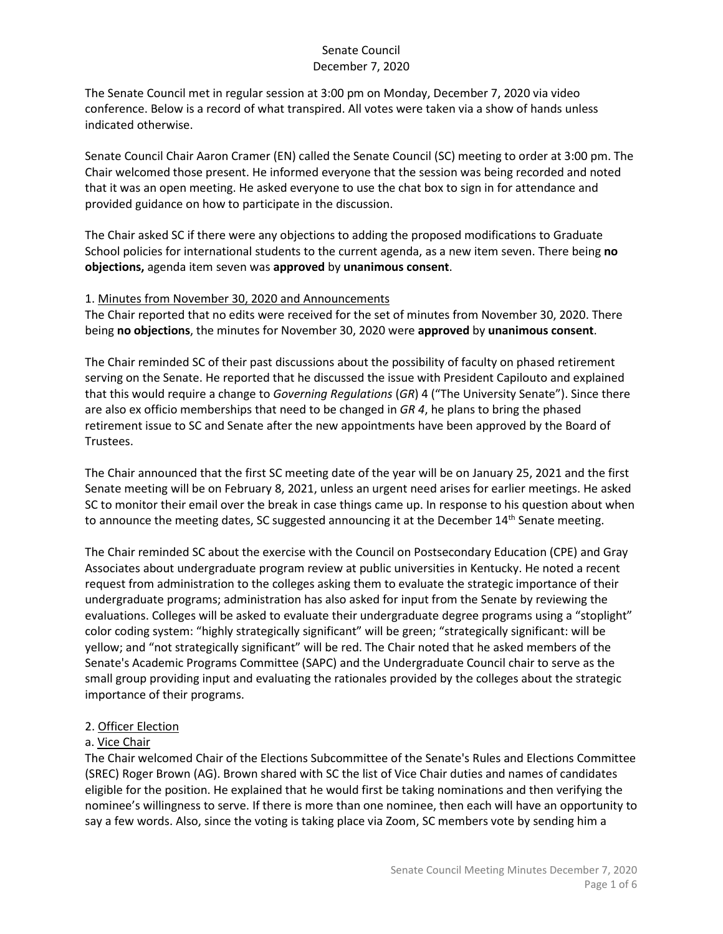The Senate Council met in regular session at 3:00 pm on Monday, December 7, 2020 via video conference. Below is a record of what transpired. All votes were taken via a show of hands unless indicated otherwise.

Senate Council Chair Aaron Cramer (EN) called the Senate Council (SC) meeting to order at 3:00 pm. The Chair welcomed those present. He informed everyone that the session was being recorded and noted that it was an open meeting. He asked everyone to use the chat box to sign in for attendance and provided guidance on how to participate in the discussion.

The Chair asked SC if there were any objections to adding the proposed modifications to Graduate School policies for international students to the current agenda, as a new item seven. There being **no objections,** agenda item seven was **approved** by **unanimous consent**.

### 1. Minutes from November 30, 2020 and Announcements

The Chair reported that no edits were received for the set of minutes from November 30, 2020. There being **no objections**, the minutes for November 30, 2020 were **approved** by **unanimous consent**.

The Chair reminded SC of their past discussions about the possibility of faculty on phased retirement serving on the Senate. He reported that he discussed the issue with President Capilouto and explained that this would require a change to *Governing Regulations* (*GR*) 4 ("The University Senate"). Since there are also ex officio memberships that need to be changed in *GR 4*, he plans to bring the phased retirement issue to SC and Senate after the new appointments have been approved by the Board of Trustees.

The Chair announced that the first SC meeting date of the year will be on January 25, 2021 and the first Senate meeting will be on February 8, 2021, unless an urgent need arises for earlier meetings. He asked SC to monitor their email over the break in case things came up. In response to his question about when to announce the meeting dates, SC suggested announcing it at the December  $14<sup>th</sup>$  Senate meeting.

The Chair reminded SC about the exercise with the Council on Postsecondary Education (CPE) and Gray Associates about undergraduate program review at public universities in Kentucky. He noted a recent request from administration to the colleges asking them to evaluate the strategic importance of their undergraduate programs; administration has also asked for input from the Senate by reviewing the evaluations. Colleges will be asked to evaluate their undergraduate degree programs using a "stoplight" color coding system: "highly strategically significant" will be green; "strategically significant: will be yellow; and "not strategically significant" will be red. The Chair noted that he asked members of the Senate's Academic Programs Committee (SAPC) and the Undergraduate Council chair to serve as the small group providing input and evaluating the rationales provided by the colleges about the strategic importance of their programs.

## 2. Officer Election

## a. Vice Chair

The Chair welcomed Chair of the Elections Subcommittee of the Senate's Rules and Elections Committee (SREC) Roger Brown (AG). Brown shared with SC the list of Vice Chair duties and names of candidates eligible for the position. He explained that he would first be taking nominations and then verifying the nominee's willingness to serve. If there is more than one nominee, then each will have an opportunity to say a few words. Also, since the voting is taking place via Zoom, SC members vote by sending him a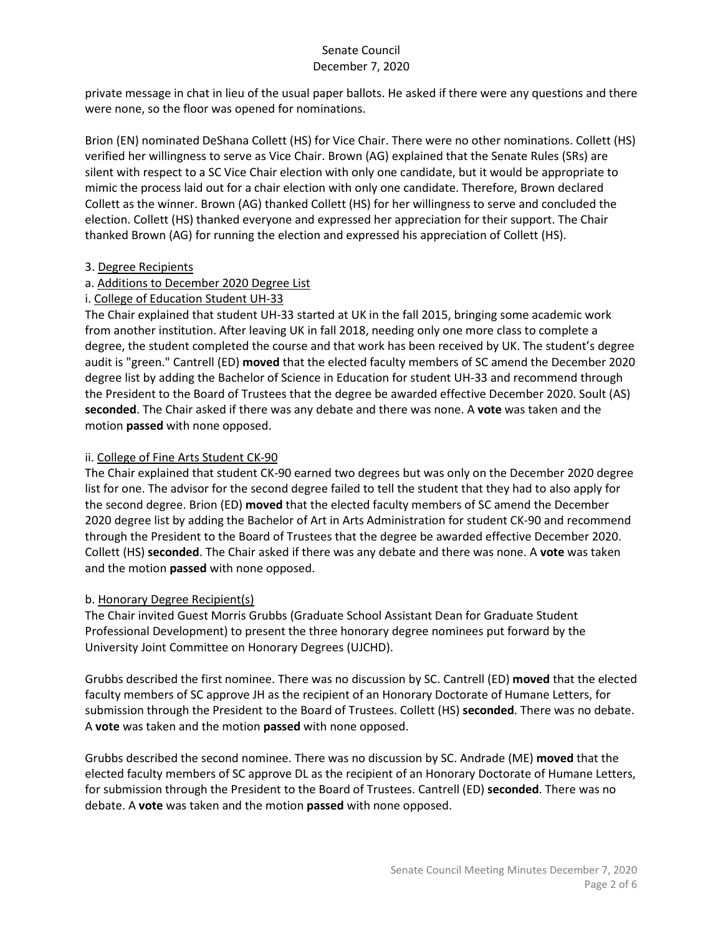private message in chat in lieu of the usual paper ballots. He asked if there were any questions and there were none, so the floor was opened for nominations.

Brion (EN) nominated DeShana Collett (HS) for Vice Chair. There were no other nominations. Collett (HS) verified her willingness to serve as Vice Chair. Brown (AG) explained that the Senate Rules (SRs) are silent with respect to a SC Vice Chair election with only one candidate, but it would be appropriate to mimic the process laid out for a chair election with only one candidate. Therefore, Brown declared Collett as the winner. Brown (AG) thanked Collett (HS) for her willingness to serve and concluded the election. Collett (HS) thanked everyone and expressed her appreciation for their support. The Chair thanked Brown (AG) for running the election and expressed his appreciation of Collett (HS).

### 3. Degree Recipients

## a. Additions to December 2020 Degree List

## i. College of Education Student UH-33

The Chair explained that student UH-33 started at UK in the fall 2015, bringing some academic work from another institution. After leaving UK in fall 2018, needing only one more class to complete a degree, the student completed the course and that work has been received by UK. The student's degree audit is "green." Cantrell (ED) **moved** that the elected faculty members of SC amend the December 2020 degree list by adding the Bachelor of Science in Education for student UH-33 and recommend through the President to the Board of Trustees that the degree be awarded effective December 2020. Soult (AS) **seconded**. The Chair asked if there was any debate and there was none. A **vote** was taken and the motion **passed** with none opposed.

## ii. College of Fine Arts Student CK-90

The Chair explained that student CK-90 earned two degrees but was only on the December 2020 degree list for one. The advisor for the second degree failed to tell the student that they had to also apply for the second degree. Brion (ED) **moved** that the elected faculty members of SC amend the December 2020 degree list by adding the Bachelor of Art in Arts Administration for student CK-90 and recommend through the President to the Board of Trustees that the degree be awarded effective December 2020. Collett (HS) **seconded**. The Chair asked if there was any debate and there was none. A **vote** was taken and the motion **passed** with none opposed.

## b. Honorary Degree Recipient(s)

The Chair invited Guest Morris Grubbs (Graduate School Assistant Dean for Graduate Student Professional Development) to present the three honorary degree nominees put forward by the University Joint Committee on Honorary Degrees (UJCHD).

Grubbs described the first nominee. There was no discussion by SC. Cantrell (ED) **moved** that the elected faculty members of SC approve JH as the recipient of an Honorary Doctorate of Humane Letters, for submission through the President to the Board of Trustees. Collett (HS) **seconded**. There was no debate. A **vote** was taken and the motion **passed** with none opposed.

Grubbs described the second nominee. There was no discussion by SC. Andrade (ME) **moved** that the elected faculty members of SC approve DL as the recipient of an Honorary Doctorate of Humane Letters, for submission through the President to the Board of Trustees. Cantrell (ED) **seconded**. There was no debate. A **vote** was taken and the motion **passed** with none opposed.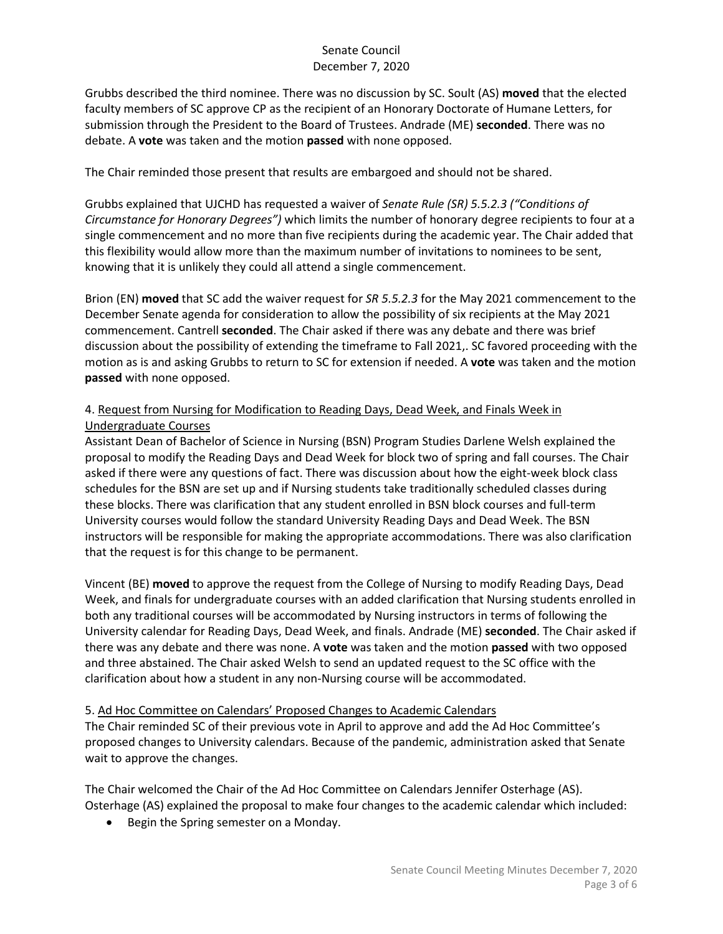Grubbs described the third nominee. There was no discussion by SC. Soult (AS) **moved** that the elected faculty members of SC approve CP as the recipient of an Honorary Doctorate of Humane Letters, for submission through the President to the Board of Trustees. Andrade (ME) **seconded**. There was no debate. A **vote** was taken and the motion **passed** with none opposed.

The Chair reminded those present that results are embargoed and should not be shared.

Grubbs explained that UJCHD has requested a waiver of *Senate Rule (SR) 5.5.2.3 ("Conditions of Circumstance for Honorary Degrees")* which limits the number of honorary degree recipients to four at a single commencement and no more than five recipients during the academic year. The Chair added that this flexibility would allow more than the maximum number of invitations to nominees to be sent, knowing that it is unlikely they could all attend a single commencement.

Brion (EN) **moved** that SC add the waiver request for *SR 5.5.2.3* for the May 2021 commencement to the December Senate agenda for consideration to allow the possibility of six recipients at the May 2021 commencement. Cantrell **seconded**. The Chair asked if there was any debate and there was brief discussion about the possibility of extending the timeframe to Fall 2021,. SC favored proceeding with the motion as is and asking Grubbs to return to SC for extension if needed. A **vote** was taken and the motion **passed** with none opposed.

# 4. Request from Nursing for Modification to Reading Days, Dead Week, and Finals Week in Undergraduate Courses

Assistant Dean of Bachelor of Science in Nursing (BSN) Program Studies Darlene Welsh explained the proposal to modify the Reading Days and Dead Week for block two of spring and fall courses. The Chair asked if there were any questions of fact. There was discussion about how the eight-week block class schedules for the BSN are set up and if Nursing students take traditionally scheduled classes during these blocks. There was clarification that any student enrolled in BSN block courses and full-term University courses would follow the standard University Reading Days and Dead Week. The BSN instructors will be responsible for making the appropriate accommodations. There was also clarification that the request is for this change to be permanent.

Vincent (BE) **moved** to approve the request from the College of Nursing to modify Reading Days, Dead Week, and finals for undergraduate courses with an added clarification that Nursing students enrolled in both any traditional courses will be accommodated by Nursing instructors in terms of following the University calendar for Reading Days, Dead Week, and finals. Andrade (ME) **seconded**. The Chair asked if there was any debate and there was none. A **vote** was taken and the motion **passed** with two opposed and three abstained. The Chair asked Welsh to send an updated request to the SC office with the clarification about how a student in any non-Nursing course will be accommodated.

### 5. Ad Hoc Committee on Calendars' Proposed Changes to Academic Calendars

The Chair reminded SC of their previous vote in April to approve and add the Ad Hoc Committee's proposed changes to University calendars. Because of the pandemic, administration asked that Senate wait to approve the changes.

The Chair welcomed the Chair of the Ad Hoc Committee on Calendars Jennifer Osterhage (AS). Osterhage (AS) explained the proposal to make four changes to the academic calendar which included:

• Begin the Spring semester on a Monday.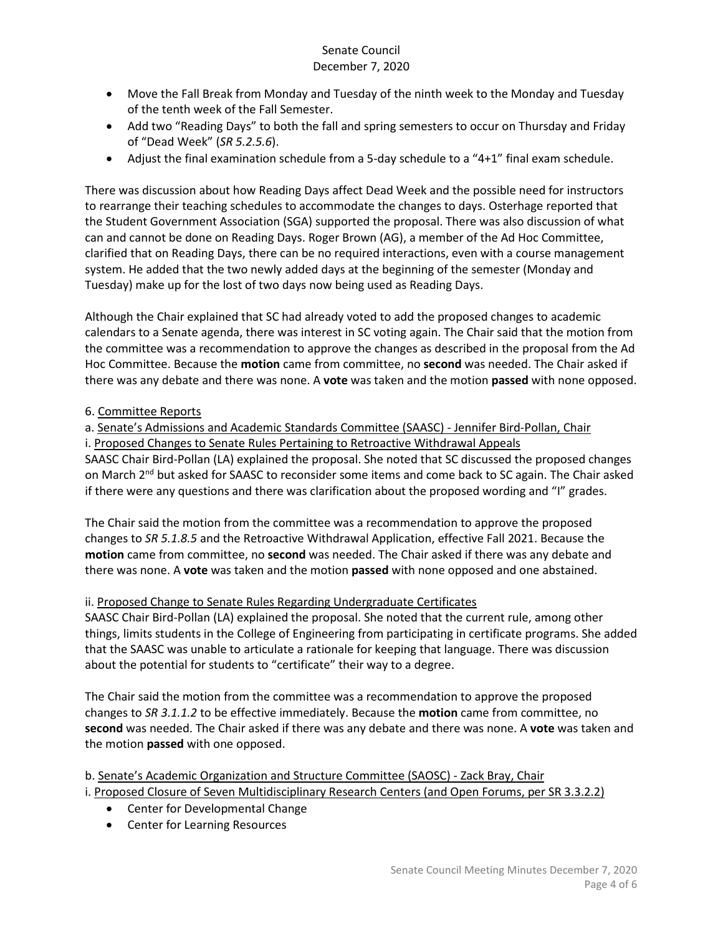- Move the Fall Break from Monday and Tuesday of the ninth week to the Monday and Tuesday of the tenth week of the Fall Semester.
- Add two "Reading Days" to both the fall and spring semesters to occur on Thursday and Friday of "Dead Week" (*SR 5.2.5.6*).
- Adjust the final examination schedule from a 5-day schedule to a "4+1" final exam schedule.

There was discussion about how Reading Days affect Dead Week and the possible need for instructors to rearrange their teaching schedules to accommodate the changes to days. Osterhage reported that the Student Government Association (SGA) supported the proposal. There was also discussion of what can and cannot be done on Reading Days. Roger Brown (AG), a member of the Ad Hoc Committee, clarified that on Reading Days, there can be no required interactions, even with a course management system. He added that the two newly added days at the beginning of the semester (Monday and Tuesday) make up for the lost of two days now being used as Reading Days.

Although the Chair explained that SC had already voted to add the proposed changes to academic calendars to a Senate agenda, there was interest in SC voting again. The Chair said that the motion from the committee was a recommendation to approve the changes as described in the proposal from the Ad Hoc Committee. Because the **motion** came from committee, no **second** was needed. The Chair asked if there was any debate and there was none. A **vote** was taken and the motion **passed** with none opposed.

## 6. Committee Reports

a. Senate's Admissions and Academic Standards Committee (SAASC) - Jennifer Bird-Pollan, Chair i. Proposed Changes to Senate Rules Pertaining to Retroactive Withdrawal Appeals

SAASC Chair Bird-Pollan (LA) explained the proposal. She noted that SC discussed the proposed changes on March 2<sup>nd</sup> but asked for SAASC to reconsider some items and come back to SC again. The Chair asked if there were any questions and there was clarification about the proposed wording and "I" grades.

The Chair said the motion from the committee was a recommendation to approve the proposed changes to *SR 5.1.8.5* and the Retroactive Withdrawal Application, effective Fall 2021. Because the **motion** came from committee, no **second** was needed. The Chair asked if there was any debate and there was none. A **vote** was taken and the motion **passed** with none opposed and one abstained.

## ii. Proposed Change to Senate Rules Regarding Undergraduate Certificates

SAASC Chair Bird-Pollan (LA) explained the proposal. She noted that the current rule, among other things, limits students in the College of Engineering from participating in certificate programs. She added that the SAASC was unable to articulate a rationale for keeping that language. There was discussion about the potential for students to "certificate" their way to a degree.

The Chair said the motion from the committee was a recommendation to approve the proposed changes to *SR 3.1.1.2* to be effective immediately. Because the **motion** came from committee, no **second** was needed. The Chair asked if there was any debate and there was none. A **vote** was taken and the motion **passed** with one opposed.

b. Senate's Academic Organization and Structure Committee (SAOSC) - Zack Bray, Chair i. Proposed Closure of Seven Multidisciplinary Research Centers (and Open Forums, per SR 3.3.2.2)

- Center for Developmental Change
- Center for Learning Resources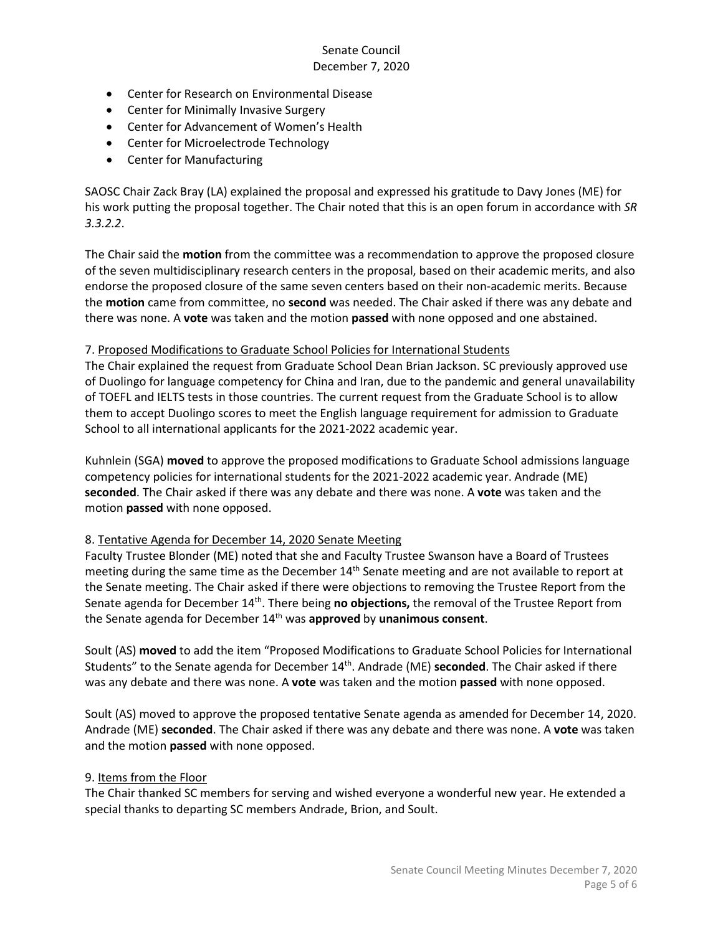- Center for Research on Environmental Disease
- Center for Minimally Invasive Surgery
- Center for Advancement of Women's Health
- Center for Microelectrode Technology
- Center for Manufacturing

SAOSC Chair Zack Bray (LA) explained the proposal and expressed his gratitude to Davy Jones (ME) for his work putting the proposal together. The Chair noted that this is an open forum in accordance with *SR 3.3.2.2*.

The Chair said the **motion** from the committee was a recommendation to approve the proposed closure of the seven multidisciplinary research centers in the proposal, based on their academic merits, and also endorse the proposed closure of the same seven centers based on their non-academic merits. Because the **motion** came from committee, no **second** was needed. The Chair asked if there was any debate and there was none. A **vote** was taken and the motion **passed** with none opposed and one abstained.

#### 7. Proposed Modifications to Graduate School Policies for International Students

The Chair explained the request from Graduate School Dean Brian Jackson. SC previously approved use of Duolingo for language competency for China and Iran, due to the pandemic and general unavailability of TOEFL and IELTS tests in those countries. The current request from the Graduate School is to allow them to accept Duolingo scores to meet the English language requirement for admission to Graduate School to all international applicants for the 2021-2022 academic year.

Kuhnlein (SGA) **moved** to approve the proposed modifications to Graduate School admissions language competency policies for international students for the 2021-2022 academic year. Andrade (ME) **seconded**. The Chair asked if there was any debate and there was none. A **vote** was taken and the motion **passed** with none opposed.

### 8. Tentative Agenda for December 14, 2020 Senate Meeting

Faculty Trustee Blonder (ME) noted that she and Faculty Trustee Swanson have a Board of Trustees meeting during the same time as the December  $14<sup>th</sup>$  Senate meeting and are not available to report at the Senate meeting. The Chair asked if there were objections to removing the Trustee Report from the Senate agenda for December 14<sup>th</sup>. There being no objections, the removal of the Trustee Report from the Senate agenda for December 14th was **approved** by **unanimous consent**.

Soult (AS) **moved** to add the item "Proposed Modifications to Graduate School Policies for International Students" to the Senate agenda for December 14th. Andrade (ME) **seconded**. The Chair asked if there was any debate and there was none. A **vote** was taken and the motion **passed** with none opposed.

Soult (AS) moved to approve the proposed tentative Senate agenda as amended for December 14, 2020. Andrade (ME) **seconded**. The Chair asked if there was any debate and there was none. A **vote** was taken and the motion **passed** with none opposed.

#### 9. Items from the Floor

The Chair thanked SC members for serving and wished everyone a wonderful new year. He extended a special thanks to departing SC members Andrade, Brion, and Soult.